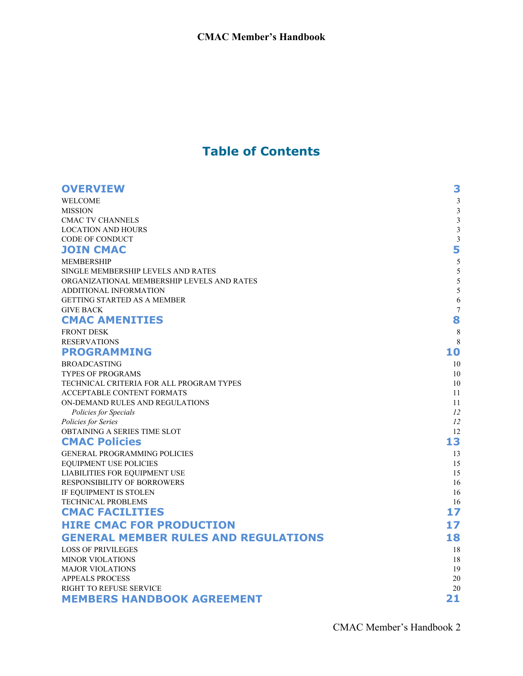### **Table of Contents**

| <b>OVERVIEW</b>                                                | 3                       |
|----------------------------------------------------------------|-------------------------|
| <b>WELCOME</b>                                                 | $\mathfrak{Z}$          |
| <b>MISSION</b>                                                 | $\mathfrak{Z}$          |
| <b>CMAC TV CHANNELS</b>                                        | $\mathfrak{Z}$          |
| <b>LOCATION AND HOURS</b>                                      | $\mathfrak{Z}$          |
| <b>CODE OF CONDUCT</b>                                         | $\overline{\mathbf{3}}$ |
| <b>JOIN CMAC</b>                                               | 5                       |
| <b>MEMBERSHIP</b>                                              | 5                       |
| SINGLE MEMBERSHIP LEVELS AND RATES                             | 5                       |
| ORGANIZATIONAL MEMBERSHIP LEVELS AND RATES                     | 5                       |
| ADDITIONAL INFORMATION                                         | 5                       |
| <b>GETTING STARTED AS A MEMBER</b>                             | 6                       |
| <b>GIVE BACK</b>                                               | $\overline{7}$          |
| <b>CMAC AMENITIES</b>                                          | 8                       |
| <b>FRONT DESK</b>                                              | 8                       |
| <b>RESERVATIONS</b>                                            | 8                       |
| <b>PROGRAMMING</b>                                             | 10                      |
| <b>BROADCASTING</b>                                            | 10                      |
| <b>TYPES OF PROGRAMS</b>                                       | 10                      |
| TECHNICAL CRITERIA FOR ALL PROGRAM TYPES                       | 10                      |
| <b>ACCEPTABLE CONTENT FORMATS</b>                              | 11                      |
| ON-DEMAND RULES AND REGULATIONS                                | 11                      |
| Policies for Specials<br>Policies for Series                   | 12<br>12                |
| OBTAINING A SERIES TIME SLOT                                   | 12                      |
| <b>CMAC Policies</b>                                           | 13                      |
|                                                                |                         |
| <b>GENERAL PROGRAMMING POLICIES</b>                            | 13<br>15                |
| <b>EQUIPMENT USE POLICIES</b><br>LIABILITIES FOR EQUIPMENT USE | 15                      |
| RESPONSIBILITY OF BORROWERS                                    | 16                      |
| IF EQUIPMENT IS STOLEN                                         | 16                      |
| TECHNICAL PROBLEMS                                             | 16                      |
| <b>CMAC FACILITIES</b>                                         | 17                      |
| <b>HIRE CMAC FOR PRODUCTION</b>                                | 17                      |
| <b>GENERAL MEMBER RULES AND REGULATIONS</b>                    | 18                      |
| <b>LOSS OF PRIVILEGES</b>                                      | 18                      |
| <b>MINOR VIOLATIONS</b>                                        | 18                      |
| <b>MAJOR VIOLATIONS</b>                                        | 19                      |
| <b>APPEALS PROCESS</b>                                         | 20                      |
| RIGHT TO REFUSE SERVICE                                        | 20                      |
| <b>MEMBERS HANDBOOK AGREEMENT</b>                              | 21                      |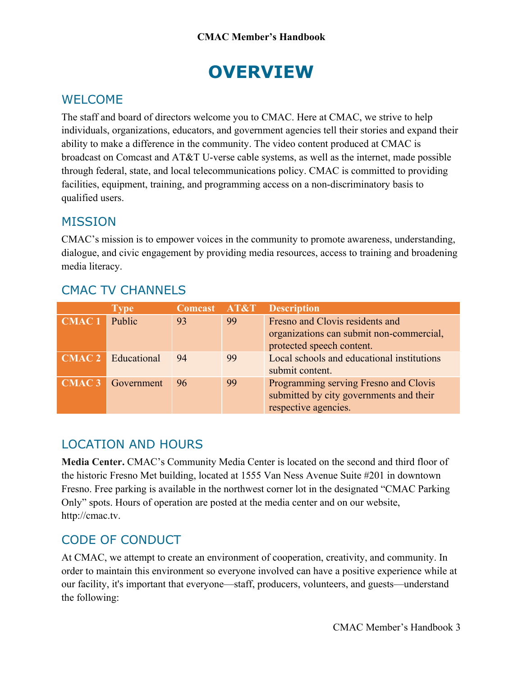# **OVERVIEW**

### <span id="page-1-0"></span>WELCOME

The staff and board of directors welcome you to CMAC. Here at CMAC, we strive to help individuals, organizations, educators, and government agencies tell their stories and expand their ability to make a difference in the community. The video content produced at CMAC is broadcast on Comcast and AT&T U-verse cable systems, as well as the internet, made possible through federal, state, and local telecommunications policy. CMAC is committed to providing facilities, equipment, training, and programming access on a non-discriminatory basis to qualified users.

#### <span id="page-1-1"></span>MISSION

CMAC's mission is to empower voices in the community to promote awareness, understanding, dialogue, and civic engagement by providing media resources, access to training and broadening media literacy.

|                   | <b>Type</b>               | Comcast AT&T |    | <b>Description</b>                                                                                       |
|-------------------|---------------------------|--------------|----|----------------------------------------------------------------------------------------------------------|
| CMAC <sub>1</sub> | Public                    | 93           | 99 | Fresno and Clovis residents and<br>organizations can submit non-commercial,<br>protected speech content. |
|                   | <b>CMAC 2</b> Educational | 94           | 99 | Local schools and educational institutions<br>submit content.                                            |
| CMAC <sub>3</sub> | Government                | 96           | 99 | Programming serving Fresno and Clovis<br>submitted by city governments and their<br>respective agencies. |

#### <span id="page-1-2"></span>CMAC TV CHANNELS

## <span id="page-1-3"></span>LOCATION AND HOURS

**Media Center.** CMAC's Community Media Center is located on the second and third floor of the historic Fresno Met building, located at 1555 Van Ness Avenue Suite #201 in downtown Fresno. Free parking is available in the northwest corner lot in the designated "CMAC Parking Only" spots. Hours of operation are posted at the media center and on our website, http://cmac.tv.

## <span id="page-1-4"></span>CODE OF CONDUCT

At CMAC, we attempt to create an environment of cooperation, creativity, and community. In order to maintain this environment so everyone involved can have a positive experience while at our facility, it's important that everyone—staff, producers, volunteers, and guests—understand the following: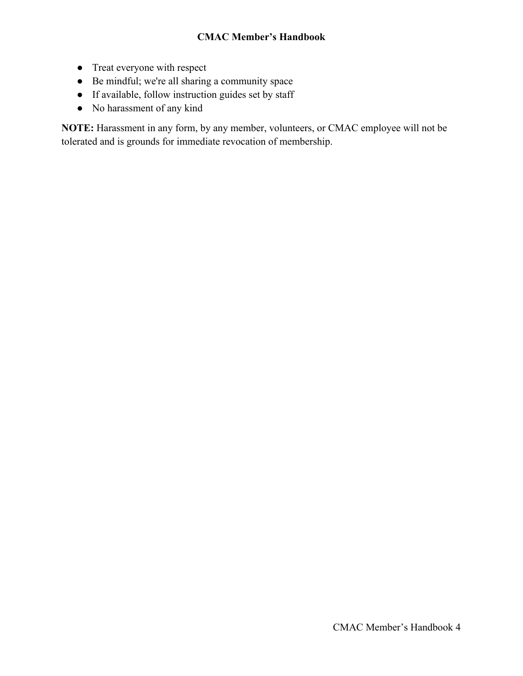- Treat everyone with respect
- Be mindful; we're all sharing a community space
- If available, follow instruction guides set by staff
- No harassment of any kind

**NOTE:** Harassment in any form, by any member, volunteers, or CMAC employee will not be tolerated and is grounds for immediate revocation of membership.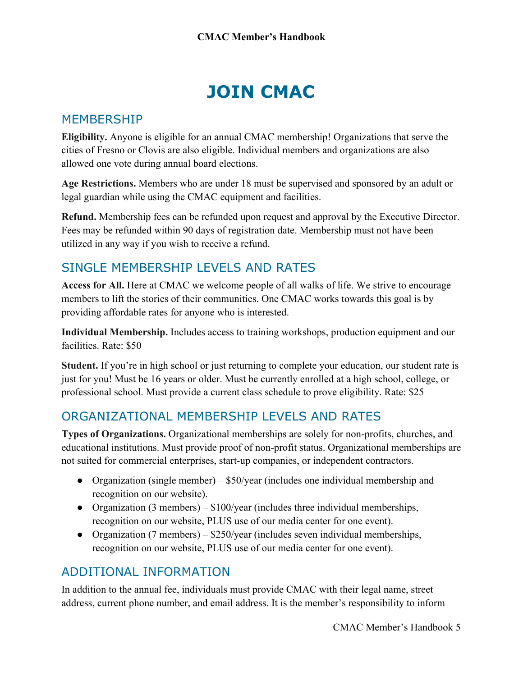# **JOIN CMAC**

#### <span id="page-3-1"></span><span id="page-3-0"></span>MEMBERSHIP

**Eligibility.** Anyone is eligible for an annual CMAC membership! Organizations that serve the cities of Fresno or Clovis are also eligible. Individual members and organizations are also allowed one vote during annual board elections.

**Age Restrictions.** Members who are under 18 must be supervised and sponsored by an adult or legal guardian while using the CMAC equipment and facilities.

**Refund.** Membership fees can be refunded upon request and approval by the Executive Director. Fees may be refunded within 90 days of registration date. Membership must not have been utilized in any way if you wish to receive a refund.

#### <span id="page-3-2"></span>SINGLE MEMBERSHIP LEVELS AND RATES

**Access for All.** Here at CMAC we welcome people of all walks of life. We strive to encourage members to lift the stories of their communities. One CMAC works towards this goal is by providing affordable rates for anyone who is interested.

**Individual Membership.** Includes access to training workshops, production equipment and our facilities. Rate: \$50

**Student.** If you're in high school or just returning to complete your education, our student rate is just for you! Must be 16 years or older. Must be currently enrolled at a high school, college, or professional school. Must provide a current class schedule to prove eligibility. Rate: \$25

#### <span id="page-3-3"></span>ORGANIZATIONAL MEMBERSHIP LEVELS AND RATES

**Types of Organizations.** Organizational memberships are solely for non-profits, churches, and educational institutions. Must provide proof of non-profit status. Organizational memberships are not suited for commercial enterprises, start-up companies, or independent contractors.

- Organization (single member) \$50/year (includes one individual membership and recognition on our website).
- Organization (3 members)  $$100/year$  (includes three individual memberships, recognition on our website, PLUS use of our media center for one event).
- Organization (7 members) \$250/year (includes seven individual memberships, recognition on our website, PLUS use of our media center for one event).

#### <span id="page-3-4"></span>ADDITIONAL INFORMATION

In addition to the annual fee, individuals must provide CMAC with their legal name, street address, current phone number, and email address. It is the member's responsibility to inform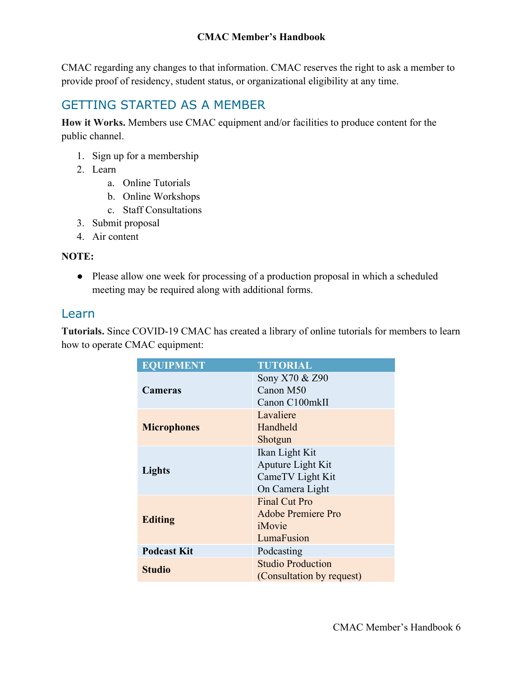CMAC regarding any changes to that information. CMAC reserves the right to ask a member to provide proof of residency, student status, or organizational eligibility at any time.

## <span id="page-4-0"></span>GETTING STARTED AS A MEMBER

**How it Works.** Members use CMAC equipment and/or facilities to produce content for the public channel.

- 1. Sign up for a membership
- 2. Learn
	- a. Online Tutorials
	- b. Online Workshops
	- c. Staff Consultations
- 3. Submit proposal
- 4. Air content

#### **NOTE:**

• Please allow one week for processing of a production proposal in which a scheduled meeting may be required along with additional forms.

#### Learn

**Tutorials.** Since COVID-19 CMAC has created a library of online tutorials for members to learn how to operate CMAC equipment:

| <b>EQUIPMENT</b>   | <b>TUTORIAL</b>                                                            |
|--------------------|----------------------------------------------------------------------------|
| <b>Cameras</b>     | Sony X70 & Z90<br>Canon M50<br>Canon C100mkII                              |
| <b>Microphones</b> | Lavaliere<br>Handheld<br>Shotgun                                           |
| Lights             | Ikan Light Kit<br>Aputure Light Kit<br>CameTV Light Kit<br>On Camera Light |
| <b>Editing</b>     | <b>Final Cut Pro</b><br>Adobe Premiere Pro<br>iMovie<br>LumaFusion         |
| <b>Podcast Kit</b> | Podcasting                                                                 |
| <b>Studio</b>      | <b>Studio Production</b><br>(Consultation by request)                      |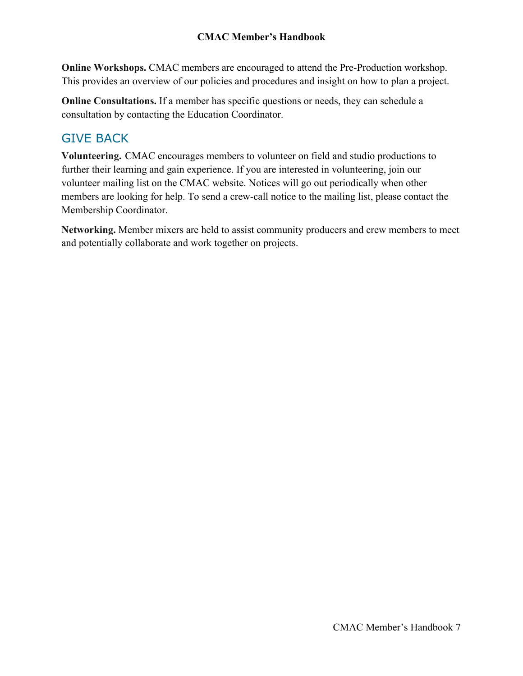**Online Workshops.** CMAC members are encouraged to attend the Pre-Production workshop. This provides an overview of our policies and procedures and insight on how to plan a project.

**Online Consultations.** If a member has specific questions or needs, they can schedule a consultation by contacting the Education Coordinator.

#### <span id="page-5-0"></span>GIVE BACK

**Volunteering.** CMAC encourages members to volunteer on field and studio productions to further their learning and gain experience. If you are interested in volunteering, join our volunteer mailing list on the CMAC website. Notices will go out periodically when other members are looking for help. To send a crew-call notice to the mailing list, please contact the Membership Coordinator.

**Networking.** Member mixers are held to assist community producers and crew members to meet and potentially collaborate and work together on projects.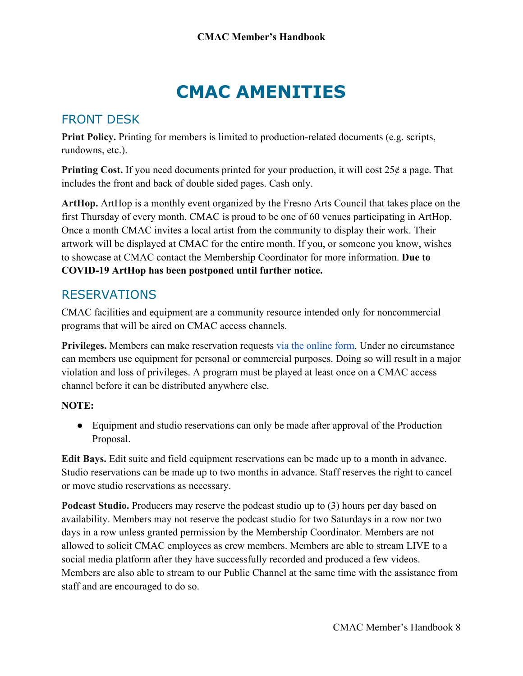## **CMAC AMENITIES**

#### <span id="page-6-1"></span><span id="page-6-0"></span>FRONT DESK

**Print Policy.** Printing for members is limited to production-related documents (e.g. scripts, rundowns, etc.).

**Printing Cost.** If you need documents printed for your production, it will cost 25¢ a page. That includes the front and back of double sided pages. Cash only.

**ArtHop.** ArtHop is a monthly event organized by the Fresno Arts Council that takes place on the first Thursday of every month. CMAC is proud to be one of 60 venues participating in ArtHop. Once a month CMAC invites a local artist from the community to display their work. Their artwork will be displayed at CMAC for the entire month. If you, or someone you know, wishes to showcase at CMAC contact the Membership Coordinator for more information. **Due to COVID-19 ArtHop has been postponed until further notice.**

#### <span id="page-6-2"></span>RESERVATIONS

CMAC facilities and equipment are a community resource intended only for noncommercial programs that will be aired on CMAC access channels.

**Privileges.** Members can make reservation requests [via the online form.](https://cmac.tv/checkout/) Under no circumstance can members use equipment for personal or commercial purposes. Doing so will result in a major violation and loss of privileges. A program must be played at least once on a CMAC access channel before it can be distributed anywhere else.

#### **NOTE:**

• Equipment and studio reservations can only be made after approval of the Production Proposal.

**Edit Bays.** Edit suite and field equipment reservations can be made up to a month in advance. Studio reservations can be made up to two months in advance. Staff reserves the right to cancel or move studio reservations as necessary.

**Podcast Studio.** Producers may reserve the podcast studio up to (3) hours per day based on availability. Members may not reserve the podcast studio for two Saturdays in a row nor two days in a row unless granted permission by the Membership Coordinator. Members are not allowed to solicit CMAC employees as crew members. Members are able to stream LIVE to a social media platform after they have successfully recorded and produced a few videos. Members are also able to stream to our Public Channel at the same time with the assistance from staff and are encouraged to do so.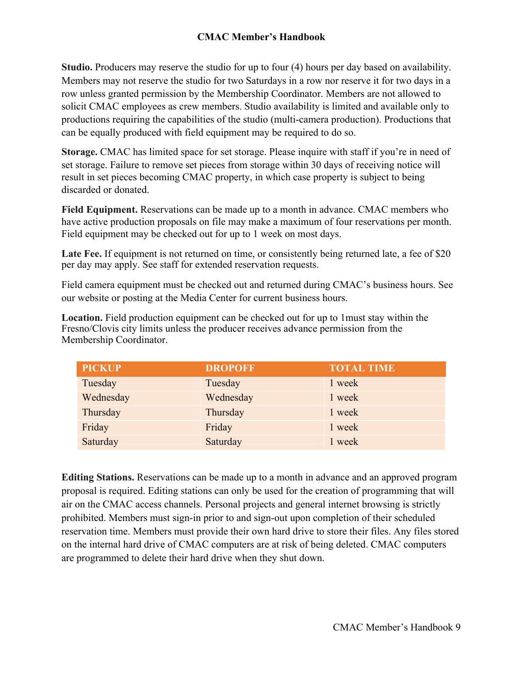**Studio.** Producers may reserve the studio for up to four (4) hours per day based on availability. Members may not reserve the studio for two Saturdays in a row nor reserve it for two days in a row unless granted permission by the Membership Coordinator. Members are not allowed to solicit CMAC employees as crew members. Studio availability is limited and available only to productions requiring the capabilities of the studio (multi-camera production). Productions that can be equally produced with field equipment may be required to do so.

**Storage.** CMAC has limited space for set storage. Please inquire with staff if you're in need of set storage. Failure to remove set pieces from storage within 30 days of receiving notice will result in set pieces becoming CMAC property, in which case property is subject to being discarded or donated.

**Field Equipment.** Reservations can be made up to a month in advance. CMAC members who have active production proposals on file may make a maximum of four reservations per month. Field equipment may be checked out for up to 1 week on most days.

Late Fee. If equipment is not returned on time, or consistently being returned late, a fee of \$20 per day may apply. See staff for extended reservation requests.

Field camera equipment must be checked out and returned during CMAC's business hours. See our website or posting at the Media Center for current business hours.

**Location.** Field production equipment can be checked out for up to 1must stay within the Fresno/Clovis city limits unless the producer receives advance permission from the Membership Coordinator.

| <b>PICKUP</b> | <b>DROPOFF</b> | <b>TOTAL TIME</b> |
|---------------|----------------|-------------------|
| Tuesday       | Tuesday        | 1 week            |
| Wednesday     | Wednesday      | 1 week            |
| Thursday      | Thursday       | 1 week            |
| Friday        | Friday         | 1 week            |
| Saturday      | Saturday       | 1 week            |

**Editing Stations.** Reservations can be made up to a month in advance and an approved program proposal is required. Editing stations can only be used for the creation of programming that will air on the CMAC access channels. Personal projects and general internet browsing is strictly prohibited. Members must sign-in prior to and sign-out upon completion of their scheduled reservation time. Members must provide their own hard drive to store their files. Any files stored on the internal hard drive of CMAC computers are at risk of being deleted. CMAC computers are programmed to delete their hard drive when they shut down.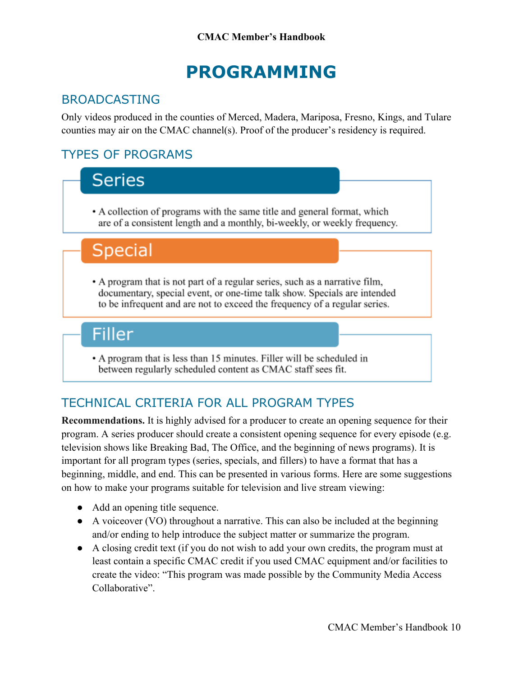## **PROGRAMMING**

### <span id="page-8-1"></span><span id="page-8-0"></span>BROADCASTING

Only videos produced in the counties of Merced, Madera, Mariposa, Fresno, Kings, and Tulare counties may air on the CMAC channel(s). Proof of the producer's residency is required.

## <span id="page-8-2"></span>TYPES OF PROGRAMS



## <span id="page-8-3"></span>TECHNICAL CRITERIA FOR ALL PROGRAM TYPES

**Recommendations.** It is highly advised for a producer to create an opening sequence for their program. A series producer should create a consistent opening sequence for every episode (e.g. television shows like Breaking Bad, The Office, and the beginning of news programs). It is important for all program types (series, specials, and fillers) to have a format that has a beginning, middle, and end. This can be presented in various forms. Here are some suggestions on how to make your programs suitable for television and live stream viewing:

- Add an opening title sequence.
- A voiceover (VO) throughout a narrative. This can also be included at the beginning and/or ending to help introduce the subject matter or summarize the program.
- A closing credit text (if you do not wish to add your own credits, the program must at least contain a specific CMAC credit if you used CMAC equipment and/or facilities to create the video: "This program was made possible by the Community Media Access Collaborative".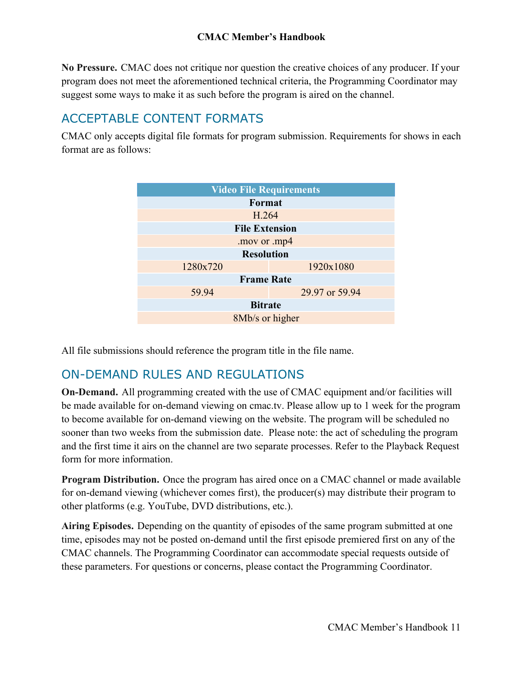**No Pressure.** CMAC does not critique nor question the creative choices of any producer. If your program does not meet the aforementioned technical criteria, the Programming Coordinator may suggest some ways to make it as such before the program is aired on the channel.

#### <span id="page-9-0"></span>ACCEPTABLE CONTENT FORMATS

CMAC only accepts digital file formats for program submission. Requirements for shows in each format are as follows:

| <b>Video File Requirements</b> |                |  |
|--------------------------------|----------------|--|
| Format                         |                |  |
| H.264                          |                |  |
| <b>File Extension</b>          |                |  |
| .mov or .mp4                   |                |  |
| <b>Resolution</b>              |                |  |
| 1280x720                       | 1920x1080      |  |
| <b>Frame Rate</b>              |                |  |
| 59.94                          | 29.97 or 59.94 |  |
| <b>Bitrate</b>                 |                |  |
| 8Mb/s or higher                |                |  |

All file submissions should reference the program title in the file name.

#### <span id="page-9-1"></span>ON-DEMAND RULES AND REGULATIONS

**On-Demand.** All programming created with the use of CMAC equipment and/or facilities will be made available for on-demand viewing on cmac.tv. Please allow up to 1 week for the program to become available for on-demand viewing on the website. The program will be scheduled no sooner than two weeks from the submission date. Please note: the act of scheduling the program and the first time it airs on the channel are two separate processes. Refer to the Playback Request form for more information.

**Program Distribution.** Once the program has aired once on a CMAC channel or made available for on-demand viewing (whichever comes first), the producer(s) may distribute their program to other platforms (e.g. YouTube, DVD distributions, etc.).

<span id="page-9-2"></span>**Airing Episodes.** Depending on the quantity of episodes of the same program submitted at one time, episodes may not be posted on-demand until the first episode premiered first on any of the CMAC channels. The Programming Coordinator can accommodate special requests outside of these parameters. For questions or concerns, please contact the Programming Coordinator.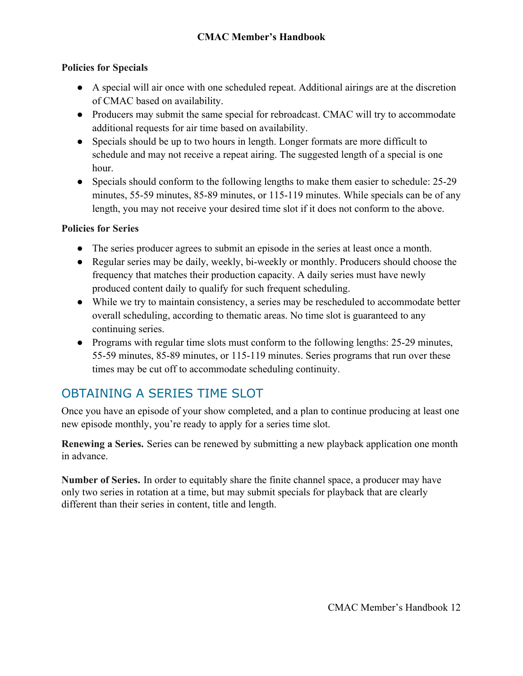#### **Policies for Specials**

- A special will air once with one scheduled repeat. Additional airings are at the discretion of CMAC based on availability.
- Producers may submit the same special for rebroadcast. CMAC will try to accommodate additional requests for air time based on availability.
- Specials should be up to two hours in length. Longer formats are more difficult to schedule and may not receive a repeat airing. The suggested length of a special is one hour.
- Specials should conform to the following lengths to make them easier to schedule: 25-29 minutes, 55-59 minutes, 85-89 minutes, or 115-119 minutes. While specials can be of any length, you may not receive your desired time slot if it does not conform to the above.

#### <span id="page-10-0"></span>**Policies for Series**

- The series producer agrees to submit an episode in the series at least once a month.
- Regular series may be daily, weekly, bi-weekly or monthly. Producers should choose the frequency that matches their production capacity. A daily series must have newly produced content daily to qualify for such frequent scheduling.
- While we try to maintain consistency, a series may be rescheduled to accommodate better overall scheduling, according to thematic areas. No time slot is guaranteed to any continuing series.
- Programs with regular time slots must conform to the following lengths: 25-29 minutes, 55-59 minutes, 85-89 minutes, or 115-119 minutes. Series programs that run over these times may be cut off to accommodate scheduling continuity.

## <span id="page-10-1"></span>OBTAINING A SERIES TIME SLOT

Once you have an episode of your show completed, and a plan to continue producing at least one new episode monthly, you're ready to apply for a series time slot.

**Renewing a Series.** Series can be renewed by submitting a new playback application one month in advance.

**Number of Series.** In order to equitably share the finite channel space, a producer may have only two series in rotation at a time, but may submit specials for playback that are clearly different than their series in content, title and length.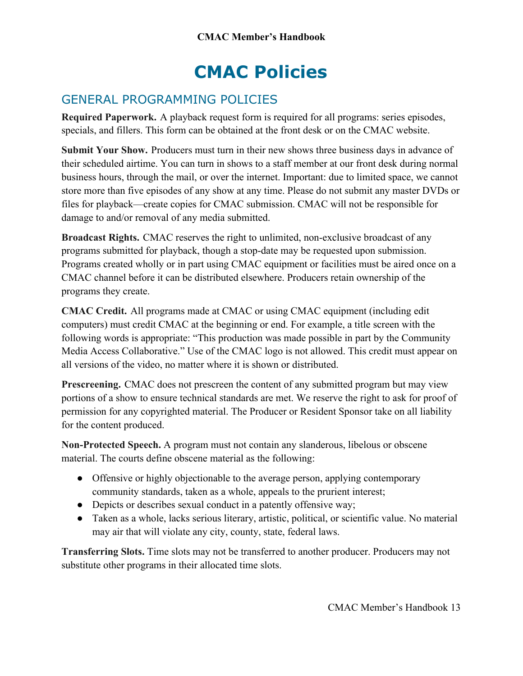# **CMAC Policies**

## <span id="page-11-1"></span><span id="page-11-0"></span>GENERAL PROGRAMMING POLICIES

**Required Paperwork.** A playback request form is required for all programs: series episodes, specials, and fillers. This form can be obtained at the front desk or on the CMAC website.

**Submit Your Show.** Producers must turn in their new shows three business days in advance of their scheduled airtime. You can turn in shows to a staff member at our front desk during normal business hours, through the mail, or over the internet. Important: due to limited space, we cannot store more than five episodes of any show at any time. Please do not submit any master DVDs or files for playback—create copies for CMAC submission. CMAC will not be responsible for damage to and/or removal of any media submitted.

**Broadcast Rights.** CMAC reserves the right to unlimited, non-exclusive broadcast of any programs submitted for playback, though a stop-date may be requested upon submission. Programs created wholly or in part using CMAC equipment or facilities must be aired once on a CMAC channel before it can be distributed elsewhere. Producers retain ownership of the programs they create.

**CMAC Credit.** All programs made at CMAC or using CMAC equipment (including edit computers) must credit CMAC at the beginning or end. For example, a title screen with the following words is appropriate: "This production was made possible in part by the Community Media Access Collaborative." Use of the CMAC logo is not allowed. This credit must appear on all versions of the video, no matter where it is shown or distributed.

Prescreening. CMAC does not prescreen the content of any submitted program but may view portions of a show to ensure technical standards are met. We reserve the right to ask for proof of permission for any copyrighted material. The Producer or Resident Sponsor take on all liability for the content produced.

**Non-Protected Speech.** A program must not contain any slanderous, libelous or obscene material. The courts define obscene material as the following:

- Offensive or highly objectionable to the average person, applying contemporary community standards, taken as a whole, appeals to the prurient interest;
- Depicts or describes sexual conduct in a patently offensive way;
- Taken as a whole, lacks serious literary, artistic, political, or scientific value. No material may air that will violate any city, county, state, federal laws.

**Transferring Slots.** Time slots may not be transferred to another producer. Producers may not substitute other programs in their allocated time slots.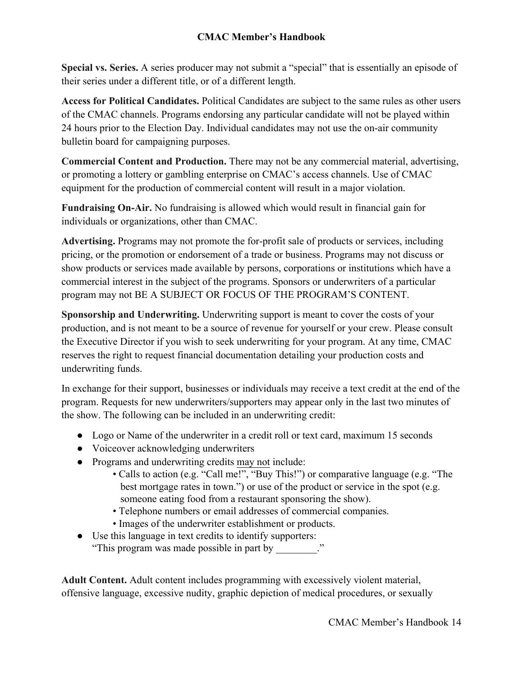**Special vs. Series.** A series producer may not submit a "special" that is essentially an episode of their series under a different title, or of a different length.

**Access for Political Candidates.** Political Candidates are subject to the same rules as other users of the CMAC channels. Programs endorsing any particular candidate will not be played within 24 hours prior to the Election Day. Individual candidates may not use the on-air community bulletin board for campaigning purposes.

**Commercial Content and Production.** There may not be any commercial material, advertising, or promoting a lottery or gambling enterprise on CMAC's access channels. Use of CMAC equipment for the production of commercial content will result in a major violation.

**Fundraising On-Air.** No fundraising is allowed which would result in financial gain for individuals or organizations, other than CMAC.

**Advertising.** Programs may not promote the for-profit sale of products or services, including pricing, or the promotion or endorsement of a trade or business. Programs may not discuss or show products or services made available by persons, corporations or institutions which have a commercial interest in the subject of the programs. Sponsors or underwriters of a particular program may not BE A SUBJECT OR FOCUS OF THE PROGRAM'S CONTENT.

**Sponsorship and Underwriting.** Underwriting support is meant to cover the costs of your production, and is not meant to be a source of revenue for yourself or your crew. Please consult the Executive Director if you wish to seek underwriting for your program. At any time, CMAC reserves the right to request financial documentation detailing your production costs and underwriting funds.

In exchange for their support, businesses or individuals may receive a text credit at the end of the program. Requests for new underwriters/supporters may appear only in the last two minutes of the show. The following can be included in an underwriting credit:

- Logo or Name of the underwriter in a credit roll or text card, maximum 15 seconds
- Voiceover acknowledging underwriters
- Programs and underwriting credits may not include:
	- Calls to action (e.g. "Call me!", "Buy This!") or comparative language (e.g. "The best mortgage rates in town.") or use of the product or service in the spot (e.g. someone eating food from a restaurant sponsoring the show).
	- Telephone numbers or email addresses of commercial companies.
	- Images of the underwriter establishment or products.
- Use this language in text credits to identify supporters: "This program was made possible in part by \_\_\_\_\_\_\_\_."

**Adult Content.** Adult content includes programming with excessively violent material, offensive language, excessive nudity, graphic depiction of medical procedures, or sexually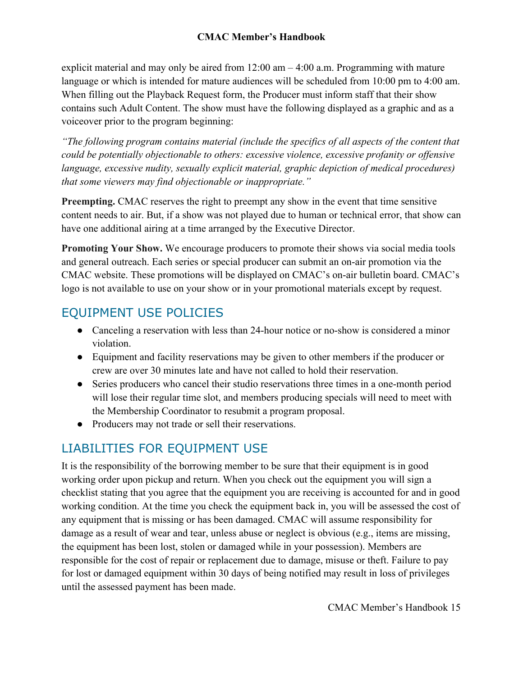explicit material and may only be aired from  $12:00 \text{ am} - 4:00 \text{ a.m.}$  Programming with mature language or which is intended for mature audiences will be scheduled from 10:00 pm to 4:00 am. When filling out the Playback Request form, the Producer must inform staff that their show contains such Adult Content. The show must have the following displayed as a graphic and as a voiceover prior to the program beginning:

*"The following program contains material (include the specifics of all aspects of the content that could be potentially objectionable to others: excessive violence, excessive profanity or offensive language, excessive nudity, sexually explicit material, graphic depiction of medical procedures) that some viewers may find objectionable or inappropriate."*

**Preempting.** CMAC reserves the right to preempt any show in the event that time sensitive content needs to air. But, if a show was not played due to human or technical error, that show can have one additional airing at a time arranged by the Executive Director.

**Promoting Your Show.** We encourage producers to promote their shows via social media tools and general outreach. Each series or special producer can submit an on-air promotion via the CMAC website. These promotions will be displayed on CMAC's on-air bulletin board. CMAC's logo is not available to use on your show or in your promotional materials except by request.

#### <span id="page-13-0"></span>EQUIPMENT USE POLICIES

- Canceling a reservation with less than 24-hour notice or no-show is considered a minor violation.
- Equipment and facility reservations may be given to other members if the producer or crew are over 30 minutes late and have not called to hold their reservation.
- Series producers who cancel their studio reservations three times in a one-month period will lose their regular time slot, and members producing specials will need to meet with the Membership Coordinator to resubmit a program proposal.
- Producers may not trade or sell their reservations.

## <span id="page-13-1"></span>LIABILITIES FOR EQUIPMENT USE

It is the responsibility of the borrowing member to be sure that their equipment is in good working order upon pickup and return. When you check out the equipment you will sign a checklist stating that you agree that the equipment you are receiving is accounted for and in good working condition. At the time you check the equipment back in, you will be assessed the cost of any equipment that is missing or has been damaged. CMAC will assume responsibility for damage as a result of wear and tear, unless abuse or neglect is obvious (e.g., items are missing, the equipment has been lost, stolen or damaged while in your possession). Members are responsible for the cost of repair or replacement due to damage, misuse or theft. Failure to pay for lost or damaged equipment within 30 days of being notified may result in loss of privileges until the assessed payment has been made.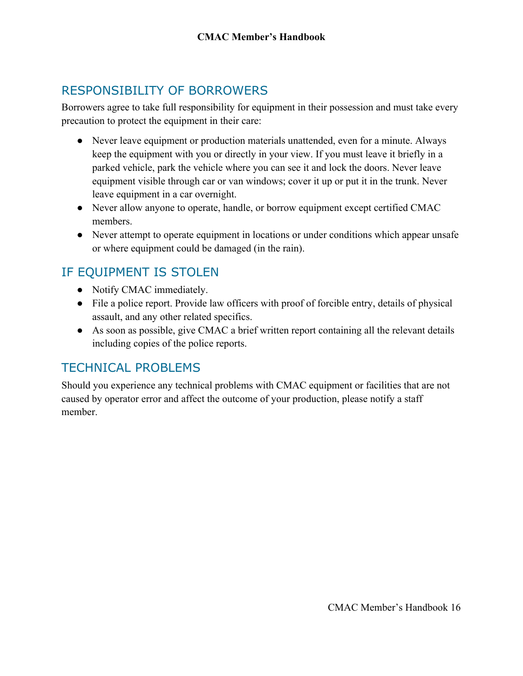### <span id="page-14-0"></span>RESPONSIBILITY OF BORROWERS

Borrowers agree to take full responsibility for equipment in their possession and must take every precaution to protect the equipment in their care:

- Never leave equipment or production materials unattended, even for a minute. Always keep the equipment with you or directly in your view. If you must leave it briefly in a parked vehicle, park the vehicle where you can see it and lock the doors. Never leave equipment visible through car or van windows; cover it up or put it in the trunk. Never leave equipment in a car overnight.
- Never allow anyone to operate, handle, or borrow equipment except certified CMAC members.
- Never attempt to operate equipment in locations or under conditions which appear unsafe or where equipment could be damaged (in the rain).

## <span id="page-14-1"></span>IF EQUIPMENT IS STOLEN

- Notify CMAC immediately.
- File a police report. Provide law officers with proof of forcible entry, details of physical assault, and any other related specifics.
- As soon as possible, give CMAC a brief written report containing all the relevant details including copies of the police reports.

#### <span id="page-14-2"></span>TECHNICAL PROBLEMS

Should you experience any technical problems with CMAC equipment or facilities that are not caused by operator error and affect the outcome of your production, please notify a staff member.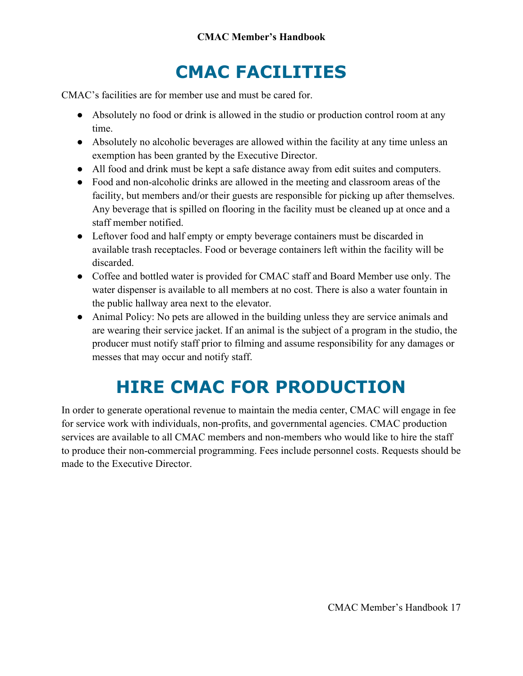# **CMAC FACILITIES**

<span id="page-15-0"></span>CMAC's facilities are for member use and must be cared for.

- Absolutely no food or drink is allowed in the studio or production control room at any time.
- Absolutely no alcoholic beverages are allowed within the facility at any time unless an exemption has been granted by the Executive Director.
- All food and drink must be kept a safe distance away from edit suites and computers.
- Food and non-alcoholic drinks are allowed in the meeting and classroom areas of the facility, but members and/or their guests are responsible for picking up after themselves. Any beverage that is spilled on flooring in the facility must be cleaned up at once and a staff member notified.
- Leftover food and half empty or empty beverage containers must be discarded in available trash receptacles. Food or beverage containers left within the facility will be discarded.
- Coffee and bottled water is provided for CMAC staff and Board Member use only. The water dispenser is available to all members at no cost. There is also a water fountain in the public hallway area next to the elevator.
- Animal Policy: No pets are allowed in the building unless they are service animals and are wearing their service jacket. If an animal is the subject of a program in the studio, the producer must notify staff prior to filming and assume responsibility for any damages or messes that may occur and notify staff.

# **HIRE CMAC FOR PRODUCTION**

<span id="page-15-1"></span>In order to generate operational revenue to maintain the media center, CMAC will engage in fee for service work with individuals, non-profits, and governmental agencies. CMAC production services are available to all CMAC members and non-members who would like to hire the staff to produce their non-commercial programming. Fees include personnel costs. Requests should be made to the Executive Director.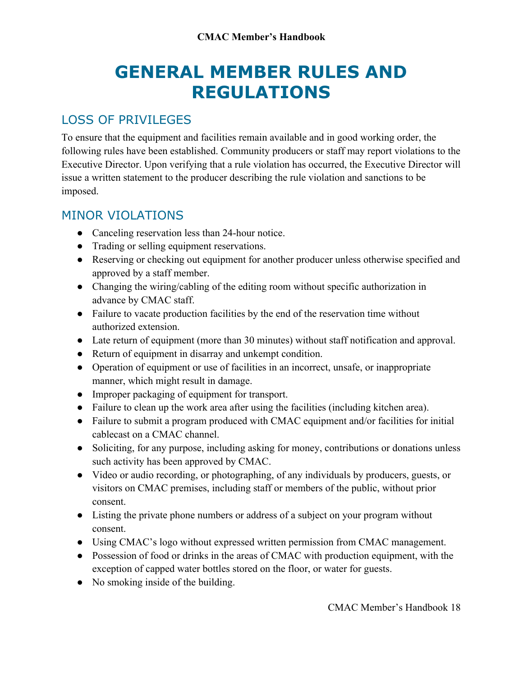## **GENERAL MEMBER RULES AND REGULATIONS**

### <span id="page-16-1"></span><span id="page-16-0"></span>LOSS OF PRIVILEGES

To ensure that the equipment and facilities remain available and in good working order, the following rules have been established. Community producers or staff may report violations to the Executive Director. Upon verifying that a rule violation has occurred, the Executive Director will issue a written statement to the producer describing the rule violation and sanctions to be imposed.

#### <span id="page-16-2"></span>MINOR VIOLATIONS

- Canceling reservation less than 24-hour notice.
- Trading or selling equipment reservations.
- Reserving or checking out equipment for another producer unless otherwise specified and approved by a staff member.
- Changing the wiring/cabling of the editing room without specific authorization in advance by CMAC staff.
- Failure to vacate production facilities by the end of the reservation time without authorized extension.
- Late return of equipment (more than 30 minutes) without staff notification and approval.
- Return of equipment in disarray and unkempt condition.
- Operation of equipment or use of facilities in an incorrect, unsafe, or inappropriate manner, which might result in damage.
- Improper packaging of equipment for transport.
- Failure to clean up the work area after using the facilities (including kitchen area).
- Failure to submit a program produced with CMAC equipment and/or facilities for initial cablecast on a CMAC channel.
- Soliciting, for any purpose, including asking for money, contributions or donations unless such activity has been approved by CMAC.
- Video or audio recording, or photographing, of any individuals by producers, guests, or visitors on CMAC premises, including staff or members of the public, without prior consent.
- Listing the private phone numbers or address of a subject on your program without consent.
- Using CMAC's logo without expressed written permission from CMAC management.
- Possession of food or drinks in the areas of CMAC with production equipment, with the exception of capped water bottles stored on the floor, or water for guests.
- No smoking inside of the building.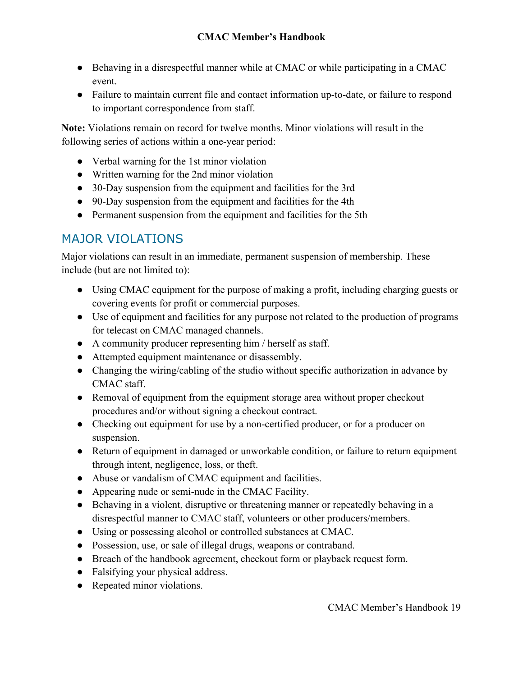- Behaving in a disrespectful manner while at CMAC or while participating in a CMAC event.
- Failure to maintain current file and contact information up-to-date, or failure to respond to important correspondence from staff.

**Note:** Violations remain on record for twelve months. Minor violations will result in the following series of actions within a one-year period:

- Verbal warning for the 1st minor violation
- Written warning for the 2nd minor violation
- 30-Day suspension from the equipment and facilities for the 3rd
- 90-Day suspension from the equipment and facilities for the 4th
- Permanent suspension from the equipment and facilities for the 5th

#### <span id="page-17-0"></span>MAJOR VIOLATIONS

Major violations can result in an immediate, permanent suspension of membership. These include (but are not limited to):

- Using CMAC equipment for the purpose of making a profit, including charging guests or covering events for profit or commercial purposes.
- Use of equipment and facilities for any purpose not related to the production of programs for telecast on CMAC managed channels.
- A community producer representing him / herself as staff.
- Attempted equipment maintenance or disassembly.
- Changing the wiring/cabling of the studio without specific authorization in advance by CMAC staff.
- Removal of equipment from the equipment storage area without proper checkout procedures and/or without signing a checkout contract.
- Checking out equipment for use by a non-certified producer, or for a producer on suspension.
- Return of equipment in damaged or unworkable condition, or failure to return equipment through intent, negligence, loss, or theft.
- Abuse or vandalism of CMAC equipment and facilities.
- Appearing nude or semi-nude in the CMAC Facility.
- Behaving in a violent, disruptive or threatening manner or repeatedly behaving in a disrespectful manner to CMAC staff, volunteers or other producers/members.
- Using or possessing alcohol or controlled substances at CMAC.
- Possession, use, or sale of illegal drugs, weapons or contraband.
- Breach of the handbook agreement, checkout form or playback request form.
- Falsifying your physical address.
- Repeated minor violations.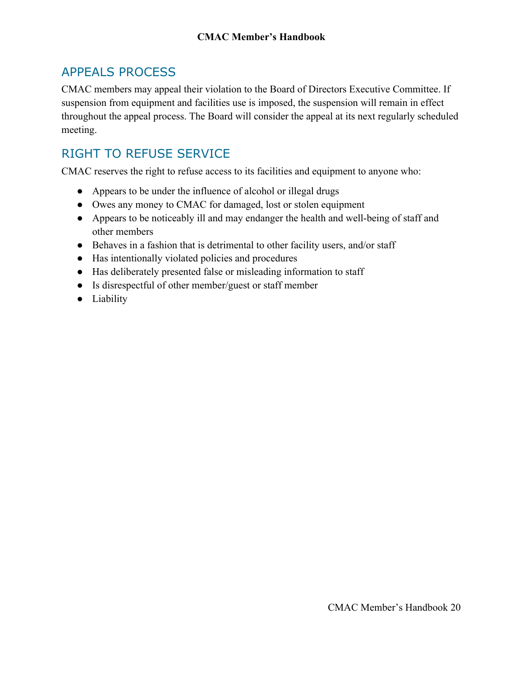### <span id="page-18-0"></span>APPEALS PROCESS

CMAC members may appeal their violation to the Board of Directors Executive Committee. If suspension from equipment and facilities use is imposed, the suspension will remain in effect throughout the appeal process. The Board will consider the appeal at its next regularly scheduled meeting.

## <span id="page-18-1"></span>RIGHT TO REFUSE SERVICE

CMAC reserves the right to refuse access to its facilities and equipment to anyone who:

- Appears to be under the influence of alcohol or illegal drugs
- Owes any money to CMAC for damaged, lost or stolen equipment
- Appears to be noticeably ill and may endanger the health and well-being of staff and other members
- Behaves in a fashion that is detrimental to other facility users, and/or staff
- Has intentionally violated policies and procedures
- Has deliberately presented false or misleading information to staff
- Is disrespectful of other member/guest or staff member
- Liability